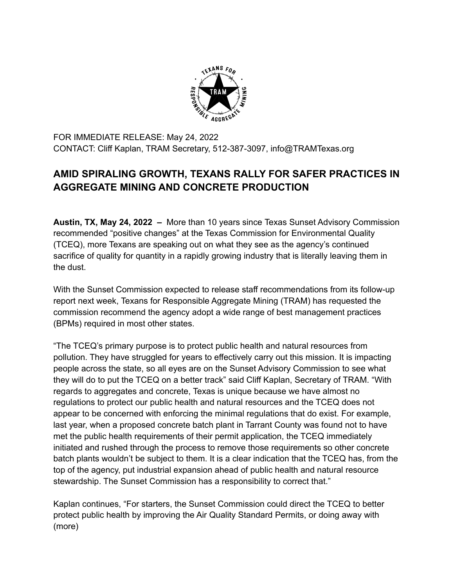

FOR IMMEDIATE RELEASE: May 24, 2022 CONTACT: Cliff Kaplan, TRAM Secretary, 512-387-3097, info@TRAMTexas.org

## **AMID SPIRALING GROWTH, TEXANS RALLY FOR SAFER PRACTICES IN AGGREGATE MINING AND CONCRETE PRODUCTION**

**Austin, TX, May 24, 2022 –** More than 10 years since Texas Sunset Advisory Commission recommended "positive changes" at the Texas Commission for Environmental Quality (TCEQ), more Texans are speaking out on what they see as the agency's continued sacrifice of quality for quantity in a rapidly growing industry that is literally leaving them in the dust.

With the Sunset Commission expected to release staff recommendations from its follow-up report next week, Texans for Responsible Aggregate Mining (TRAM) has requested the commission recommend the agency adopt a wide range of best management practices (BPMs) required in most other states.

"The TCEQ's primary purpose is to protect public health and natural resources from pollution. They have struggled for years to effectively carry out this mission. It is impacting people across the state, so all eyes are on the Sunset Advisory Commission to see what they will do to put the TCEQ on a better track" said Cliff Kaplan, Secretary of TRAM. "With regards to aggregates and concrete, Texas is unique because we have almost no regulations to protect our public health and natural resources and the TCEQ does not appear to be concerned with enforcing the minimal regulations that do exist. For example, last year, when a proposed concrete batch plant in Tarrant County was found not to have met the public health requirements of their permit application, the TCEQ immediately initiated and rushed through the process to remove those requirements so other concrete batch plants wouldn't be subject to them. It is a clear indication that the TCEQ has, from the top of the agency, put industrial expansion ahead of public health and natural resource stewardship. The Sunset Commission has a responsibility to correct that."

Kaplan continues, "For starters, the Sunset Commission could direct the TCEQ to better protect public health by improving the Air Quality Standard Permits, or doing away with (more)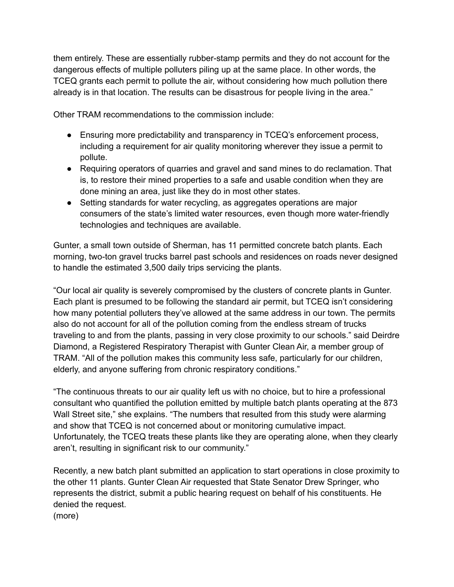them entirely. These are essentially rubber-stamp permits and they do not account for the dangerous effects of multiple polluters piling up at the same place. In other words, the TCEQ grants each permit to pollute the air, without considering how much pollution there already is in that location. The results can be disastrous for people living in the area."

Other TRAM recommendations to the commission include:

- Ensuring more predictability and transparency in TCEQ's enforcement process, including a requirement for air quality monitoring wherever they issue a permit to pollute.
- Requiring operators of quarries and gravel and sand mines to do reclamation. That is, to restore their mined properties to a safe and usable condition when they are done mining an area, just like they do in most other states.
- Setting standards for water recycling, as aggregates operations are major consumers of the state's limited water resources, even though more water-friendly technologies and techniques are available.

Gunter, a small town outside of Sherman, has 11 permitted concrete batch plants. Each morning, two-ton gravel trucks barrel past schools and residences on roads never designed to handle the estimated 3,500 daily trips servicing the plants.

"Our local air quality is severely compromised by the clusters of concrete plants in Gunter. Each plant is presumed to be following the standard air permit, but TCEQ isn't considering how many potential polluters they've allowed at the same address in our town. The permits also do not account for all of the pollution coming from the endless stream of trucks traveling to and from the plants, passing in very close proximity to our schools." said Deirdre Diamond, a Registered Respiratory Therapist with Gunter Clean Air, a member group of TRAM. "All of the pollution makes this community less safe, particularly for our children, elderly, and anyone suffering from chronic respiratory conditions."

"The continuous threats to our air quality left us with no choice, but to hire a professional consultant who quantified the pollution emitted by multiple batch plants operating at the 873 Wall Street site," she explains. "The numbers that resulted from this study were alarming and show that TCEQ is not concerned about or monitoring cumulative impact. Unfortunately, the TCEQ treats these plants like they are operating alone, when they clearly aren't, resulting in significant risk to our community."

Recently, a new batch plant submitted an application to start operations in close proximity to the other 11 plants. Gunter Clean Air requested that State Senator Drew Springer, who represents the district, submit a public hearing request on behalf of his constituents. He denied the request.

(more)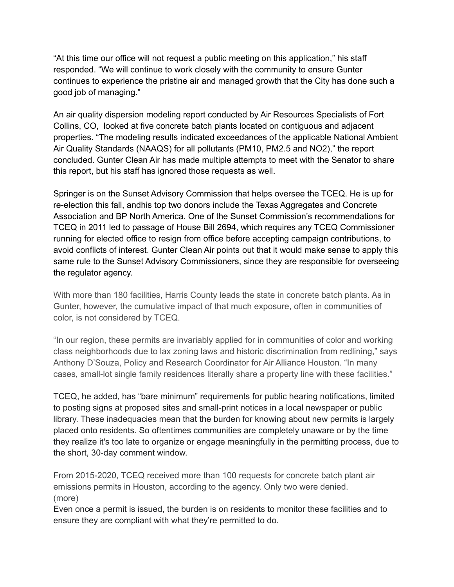"At this time our office will not request a public meeting on this application," his staff responded. "We will continue to work closely with the community to ensure Gunter continues to experience the pristine air and managed growth that the City has done such a good job of managing."

An air quality dispersion modeling report conducted by Air Resources Specialists of Fort Collins, CO, looked at five concrete batch plants located on contiguous and adjacent properties. "The modeling results indicated exceedances of the applicable National Ambient Air Quality Standards (NAAQS) for all pollutants (PM10, PM2.5 and NO2)," the report concluded. Gunter Clean Air has made multiple attempts to meet with the Senator to share this report, but his staff has ignored those requests as well.

Springer is on the Sunset Advisory Commission that helps oversee the TCEQ. He is up for re-election this fall, andhis top two donors include the Texas Aggregates and Concrete Association and BP North America. One of the Sunset Commission's recommendations for TCEQ in 2011 led to passage of House Bill 2694, which requires any TCEQ Commissioner running for elected office to resign from office before accepting campaign contributions, to avoid conflicts of interest. Gunter Clean Air points out that it would make sense to apply this same rule to the Sunset Advisory Commissioners, since they are responsible for overseeing the regulator agency.

With more than 180 facilities, Harris County leads the state in concrete batch plants. As in Gunter, however, the cumulative impact of that much exposure, often in communities of color, is not considered by TCEQ.

"In our region, these permits are invariably applied for in communities of color and working class neighborhoods due to lax zoning laws and historic discrimination from redlining," says Anthony D'Souza, Policy and Research Coordinator for Air Alliance Houston. "In many cases, small-lot single family residences literally share a property line with these facilities."

TCEQ, he added, has "bare minimum" requirements for public hearing notifications, limited to posting signs at proposed sites and small-print notices in a local newspaper or public library. These inadequacies mean that the burden for knowing about new permits is largely placed onto residents. So oftentimes communities are completely unaware or by the time they realize it's too late to organize or engage meaningfully in the permitting process, due to the short, 30-day comment window.

From 2015-2020, TCEQ received more than 100 requests for concrete batch plant air emissions permits in Houston, according to the agency. Only two were denied. (more)

Even once a permit is issued, the burden is on residents to monitor these facilities and to ensure they are compliant with what they're permitted to do.